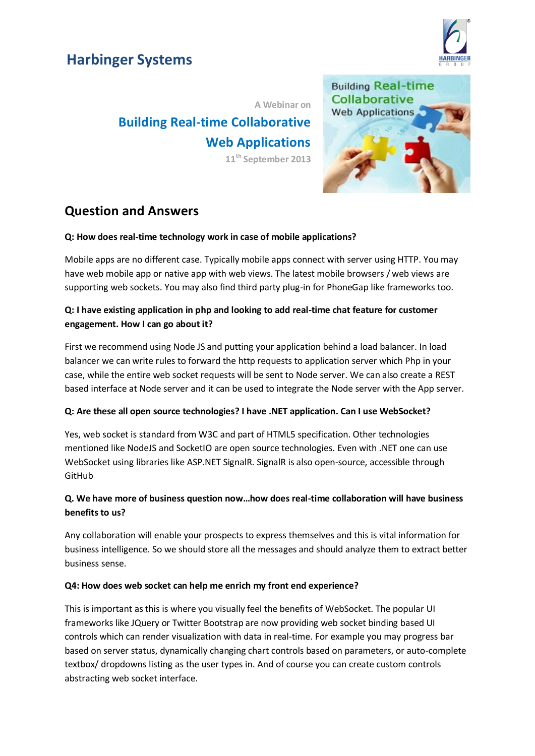# **Harbinger Systems**



**A Webinar on Building Real-time Collaborative Web Applications 11th September 2013**



# **Question and Answers**

#### **Q: How does real-time technology work in case of mobile applications?**

Mobile apps are no different case. Typically mobile apps connect with server using HTTP. You may have web mobile app or native app with web views. The latest mobile browsers / web views are supporting web sockets. You may also find third party plug-in for PhoneGap like frameworks too.

## **Q: I have existing application in php and looking to add real-time chat feature for customer engagement. How I can go about it?**

First we recommend using Node JS and putting your application behind a load balancer. In load balancer we can write rules to forward the http requests to application server which Php in your case, while the entire web socket requests will be sent to Node server. We can also create a REST based interface at Node server and it can be used to integrate the Node server with the App server.

#### **Q: Are these all open source technologies? I have .NET application. Can I use WebSocket?**

Yes, web socket is standard from W3C and part of HTML5 specification. Other technologies mentioned like NodeJS and SocketIO are open source technologies. Even with .NET one can use WebSocket using libraries like ASP.NET SignalR. SignalR is also open-source, accessible through GitHub

# **Q. We have more of business question now…how does real-time collaboration will have business benefits to us?**

Any collaboration will enable your prospects to express themselves and this is vital information for business intelligence. So we should store all the messages and should analyze them to extract better business sense.

#### **Q4: How does web socket can help me enrich my front end experience?**

This is important as this is where you visually feel the benefits of WebSocket. The popular UI frameworks like JQuery or Twitter Bootstrap are now providing web socket binding based UI controls which can render visualization with data in real-time. For example you may progress bar based on server status, dynamically changing chart controls based on parameters, or auto-complete textbox/ dropdowns listing as the user types in. And of course you can create custom controls abstracting web socket interface.